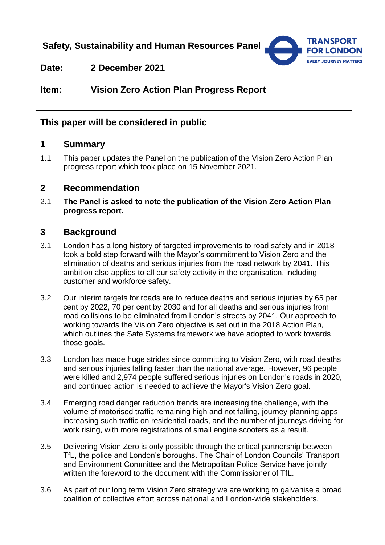**Safety, Sustainability and Human Resources Panel**



**Date: 2 December 2021**

**Item: Vision Zero Action Plan Progress Report**

# **This paper will be considered in public**

# **1 Summary**

1.1 This paper updates the Panel on the publication of the Vision Zero Action Plan progress report which took place on 15 November 2021.

### **2 Recommendation**

2.1 **The Panel is asked to note the publication of the Vision Zero Action Plan progress report.** 

# **3 Background**

- 3.1 London has a long history of targeted improvements to road safety and in 2018 took a bold step forward with the Mayor's commitment to Vision Zero and the elimination of deaths and serious injuries from the road network by 2041. This ambition also applies to all our safety activity in the organisation, including customer and workforce safety.
- 3.2 Our interim targets for roads are to reduce deaths and serious injuries by 65 per cent by 2022, 70 per cent by 2030 and for all deaths and serious injuries from road collisions to be eliminated from London's streets by 2041. Our approach to working towards the Vision Zero objective is set out in the 2018 Action Plan, which outlines the Safe Systems framework we have adopted to work towards those goals.
- 3.3 London has made huge strides since committing to Vision Zero, with road deaths and serious injuries falling faster than the national average. However, 96 people were killed and 2,974 people suffered serious injuries on London's roads in 2020, and continued action is needed to achieve the Mayor's Vision Zero goal.
- 3.4 Emerging road danger reduction trends are increasing the challenge, with the volume of motorised traffic remaining high and not falling, journey planning apps increasing such traffic on residential roads, and the number of journeys driving for work rising, with more registrations of small engine scooters as a result.
- 3.5 Delivering Vision Zero is only possible through the critical partnership between TfL, the police and London's boroughs. The Chair of London Councils' Transport and Environment Committee and the Metropolitan Police Service have jointly written the foreword to the document with the Commissioner of TfL.
- 3.6 As part of our long term Vision Zero strategy we are working to galvanise a broad coalition of collective effort across national and London-wide stakeholders,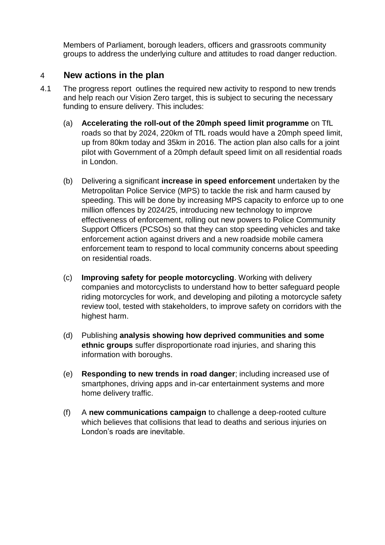Members of Parliament, borough leaders, officers and grassroots community groups to address the underlying culture and attitudes to road danger reduction.

### 4 **New actions in the plan**

- 4.1 The progress report outlines the required new activity to respond to new trends and help reach our Vision Zero target, this is subject to securing the necessary funding to ensure delivery. This includes:
	- (a) **Accelerating the roll-out of the 20mph speed limit programme** on TfL roads so that by 2024, 220km of TfL roads would have a 20mph speed limit, up from 80km today and 35km in 2016. The action plan also calls for a joint pilot with Government of a 20mph default speed limit on all residential roads in London.
	- (b) Delivering a significant **increase in speed enforcement** undertaken by the Metropolitan Police Service (MPS) to tackle the risk and harm caused by speeding. This will be done by increasing MPS capacity to enforce up to one million offences by 2024/25, introducing new technology to improve effectiveness of enforcement, rolling out new powers to Police Community Support Officers (PCSOs) so that they can stop speeding vehicles and take enforcement action against drivers and a new roadside mobile camera enforcement team to respond to local community concerns about speeding on residential roads.
	- (c) **Improving safety for people motorcycling**. Working with delivery companies and motorcyclists to understand how to better safeguard people riding motorcycles for work, and developing and piloting a motorcycle safety review tool, tested with stakeholders, to improve safety on corridors with the highest harm.
	- (d) Publishing **analysis showing how deprived communities and some ethnic groups** suffer disproportionate road injuries, and sharing this information with boroughs.
	- (e) **Responding to new trends in road danger**; including increased use of smartphones, driving apps and in-car entertainment systems and more home delivery traffic.
	- (f) A **new communications campaign** to challenge a deep-rooted culture which believes that collisions that lead to deaths and serious injuries on London's roads are inevitable.